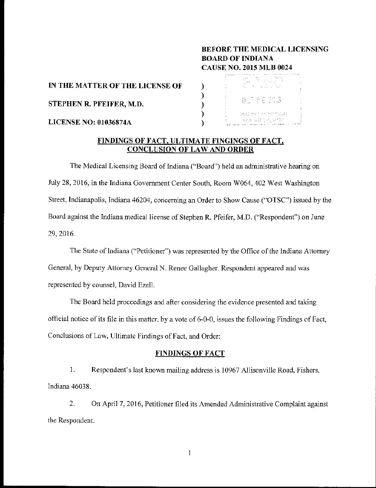# BEFORE THE MEDICAL LICENSING BOARD OF INDIANA CAUSE NO. 2015 MLB 0024

IN THE MATTER OF THE LICENSE OF

STEPHEN R. PFEIFER, M.D.

LICENSE NO: 01036874A



## FINDINGS OF FACT, ULTIMATE FINGINGS OF FACT, CONCLUSION OF LAW AND ORDER

)  $\mathcal{L}$ )  $\lambda$ )

The Medical Licensing Board of Indiana ("Board") held an administrative hearing on July 28,2016, in the Indiana Government Center South, Room W064, 402 West Washington Street, Indianapolis, Indiana 46204, concerning an Order to Show Cause ("OTSC") issued by the Board against the Indiana medical license of Stephen R. Pfeifer, M.D. ("Respondent") on June 29,2016.

The State of Indiana ("Petitioner") was represented by the Office of the Indiana Attorney General, by Deputy Attorney General N. Renee Gallagher. Respondent appeared and was represented by counsel, David Ezell.

The Board held proceedings and after considering the evidence presented and taking official notice of its file in this matter, by a vote of  $6-0-0$ , issues the following Findings of Fact, Conclusions of Law, Ultimate Findings of Fact, and Order:

# FINDINGS OF FACT

1. Respondent's last known mailing address is 10967 Allisonville Road, Fishers, Indiana 4603 8.

2. On April 7, 2016, Petitioner filed its Amended Administrative Complaint against the Respondent.

 $\mathbf{1}$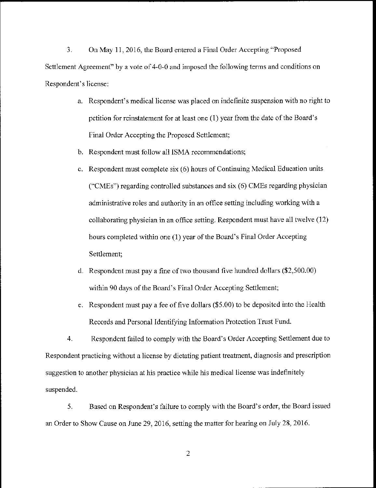3. On May 11,2016, the Board entered a Final Order Accepting "Proposed Settlement Agreement" by a vote of 4-0-0 and imposed the following terms and conditions on Respondent's license:

- a. Respondent's medical license was placed on indefinite suspension with no right to petition for reinstatement for at least one (I) year from the date of the Board's Final Order Accepting the Proposed Settlement;
- b. Respondent must follow all ISMA recommendations;
- c. Respondent must complete six (6) hours of Continuing Medical Education units ("CMEs") regarding controlled substances and six (6) CMEs regarding physician administrative roles and authority in an office setting including working with a collaborating physician in an office setting. Respondent must have all twelve (12) hours completed within one (1) year of the Board's Final Order Accepting Settlement;
- d. Respondent must pay a fine of two thousand five hundred dollars (\$2,500.00) within 90 days of the Board's Final Order Accepting Settlement;
- e. Respondent must pay a fee of five dollars (\$5.00) to be deposited into the Health Records and Personal Identifying Information Protection Trust Fund.

4. Respondent failed to comply with the Board's Order Accepting Settlement due to Respondent practicing without a license by dictating patient treatment, diagnosis and prescription suggestion to another physician at his practice while his medical license was indefinitely suspended.

5. Based on Respondent's failure to comply with the Board's order, the Board issued an Order to Show Cause on June 29, 2016, setting the matter for hearing on July 28, 2016.

2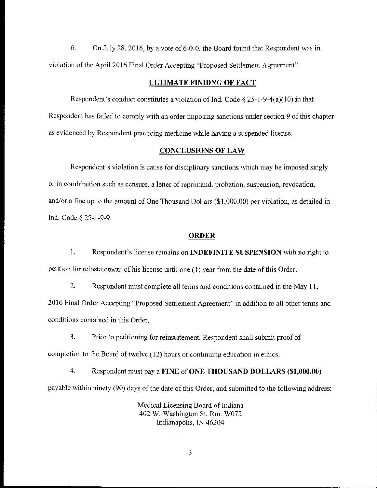6. On July 28, 2016, by a vote of  $6-0-0$ , the Board found that Respondent was in violation of the April 2016 Final Order Accepting "Proposed Settlement Agreement".

### ULTIMATE FINIDNG OF FACT

Respondent's conduct constitutes a violation of Ind. Code  $\S 25$ -1-9-4(a)(10) in that Respondent has failed to comply with an order imposing sanctions under section 9 of this chapter as evidenced by Respondent practicing medicine while having a suspended license.

### CONCLUSIONS OF LAW

Respondent's violation is cause for disciplinary sanctions which may be imposed singly or in combination such as censure, a letter of reprimand, probation, suspension, revocation, and/or a tine up to the amount of One Thousand Dollars (\$1,000.00) per violation, as detailed in Ind. Code § 25-1-9-9.

#### **ORDER**

1. Respondent's license remains on **INDEFINITE SUSPENSION** with no right to petition for reinstatement of his license until one (1) year from the date of this Order.

2. Respondent must complete all terms and conditions contained in the May **11,**  2016 Final Order Accepting "Proposed Settlement Agreement" in addition to all other terms and conditions contained in this Order.

3. Prior to petitioning for reinstatement, Respondent shall submit proof of completion to the Board of twelve (12) hours of continuing education in ethics.

4. Respondent must pay a FINE of ONE THOUSAND DOLLARS (\$1,000.00) payable within ninety (90) days of the date of this Order, and submitted to the following address:

> Medical Licensing Board of Indiana 402 W. Washington St. Rm. W072 Indianapolis, IN 46204

> > 3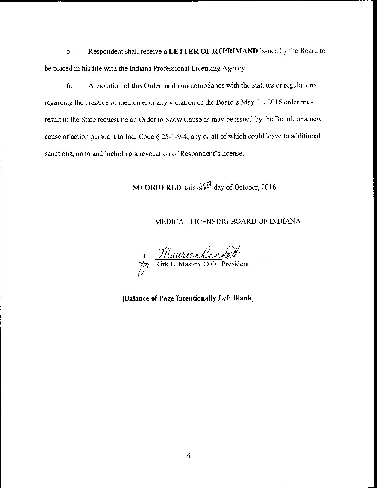5. Respondent shall receive a **LETTER OF REPRIMAND** issued by the Board to be placed in his file with the Indiana Professional Licensing Agency.

6. A violation of this Order, and non~compliance with the statutes or regulations regarding the practice of medicine, or any violation of the Board's May 11, 2016 order may result in the State requesting an Order to Show Cause as may be issued by the Board, or a new cause of action pursuant to Ind. Code § 25-1-9-4, any or all of which could leave to additional sanctions, up to and including a revocation of Respondent's license.

SO ORDERED, this  $\sqrt{\frac{1}{n}}$  day of October, 2016.

# MEDICAL LICENSING BOARD OF INDIANA

Maurien Bennett

**(Balance of Page Intentionally Left Blank]**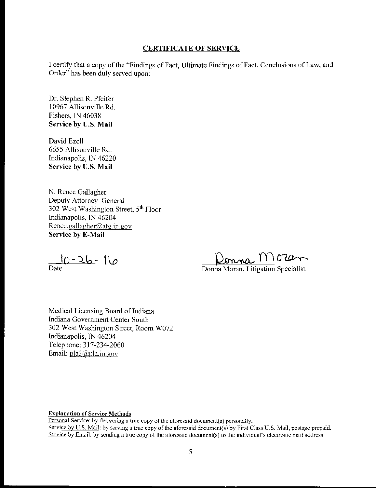## CERTIFICATE OF SERVICE

I certify that a copy of the "Findings of Fact, Ultimate Findings of Fact, Conclusions of Law, and Order" has been duly served upon:

Dr. Stephen R. Pfeifer 10967 Allisonville Rd. Fishers, IN 46038 **Service by U.S. Mail** 

David Ezell 6655 Allisonville Rd. Indianapolis, lN 46220 **Service by** U.S. **Mail** 

N. Renee Gallagher Deputy Attorney General 302 West Washington Street, 5<sup>th</sup> Floor Indianapolis, IN 46204 Renee.gallagher@atg.in.gov **Service by E-Mail** 

 $10 - 26 - 16$ 

Date

<u>Donna MC</u><br>Donna Moran, Litigation Specialist

Medical Licensing Board of Indiana Indiana Government Center South 302 West Washington Street, Room W072 Indianapolis, IN 46204 Telephone: 317-234-2060 Email:  $pla3@pha.in.gov$ 

**Explanation** of Service Methods

Personal Service: by delivering a true copy of the aforesaid document(s) personally. Service by U.S. Mail: by serving a true copy of the aforesaid document(s) by First Class U.S. Mail, postage prepaid. Service by Email: by sending a true copy of the aforesaid document(s) to the individual's electronic mail address